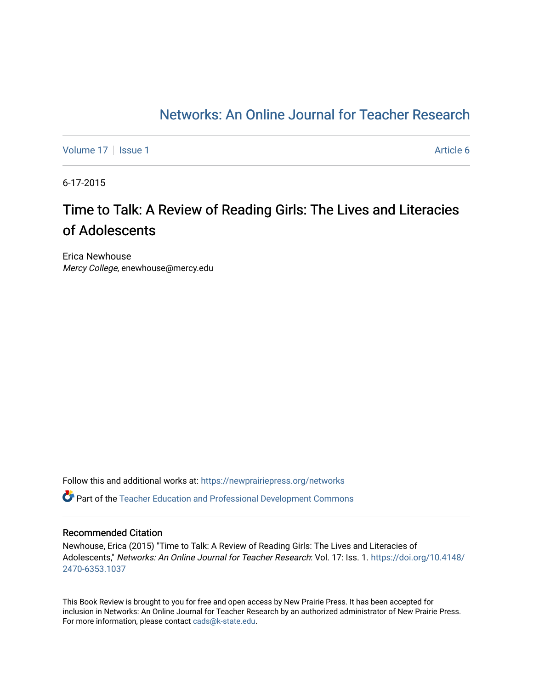### [Networks: An Online Journal for Teacher Research](https://newprairiepress.org/networks)

[Volume 17](https://newprairiepress.org/networks/vol17) | [Issue 1](https://newprairiepress.org/networks/vol17/iss1) Article 6

6-17-2015

## Time to Talk: A Review of Reading Girls: The Lives and Literacies of Adolescents

Erica Newhouse Mercy College, enewhouse@mercy.edu

Follow this and additional works at: [https://newprairiepress.org/networks](https://newprairiepress.org/networks?utm_source=newprairiepress.org%2Fnetworks%2Fvol17%2Fiss1%2F6&utm_medium=PDF&utm_campaign=PDFCoverPages)

Part of the [Teacher Education and Professional Development Commons](http://network.bepress.com/hgg/discipline/803?utm_source=newprairiepress.org%2Fnetworks%2Fvol17%2Fiss1%2F6&utm_medium=PDF&utm_campaign=PDFCoverPages) 

#### Recommended Citation

Newhouse, Erica (2015) "Time to Talk: A Review of Reading Girls: The Lives and Literacies of Adolescents," Networks: An Online Journal for Teacher Research: Vol. 17: Iss. 1. [https://doi.org/10.4148/](https://doi.org/10.4148/2470-6353.1037) [2470-6353.1037](https://doi.org/10.4148/2470-6353.1037) 

This Book Review is brought to you for free and open access by New Prairie Press. It has been accepted for inclusion in Networks: An Online Journal for Teacher Research by an authorized administrator of New Prairie Press. For more information, please contact [cads@k-state.edu.](mailto:cads@k-state.edu)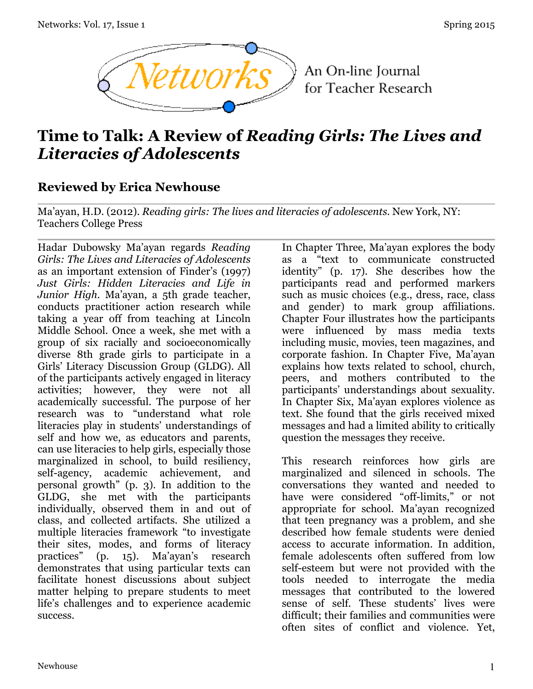

An On-line Journal for Teacher Research

# **Time to Talk: A Review of** *Reading Girls: The Lives and Literacies of Adolescents*

### **Reviewed by Erica Newhouse**

Ma'ayan, H.D. (2012). *Reading girls: The lives and literacies of adolescents*. New York, NY: Teachers College Press

Hadar Dubowsky Ma'ayan regards *Reading Girls: The Lives and Literacies of Adolescents* as an important extension of Finder's (1997) *Just Girls: Hidden Literacies and Life in Junior High*. Ma'ayan, a 5th grade teacher, conducts practitioner action research while taking a year off from teaching at Lincoln Middle School. Once a week, she met with a group of six racially and socioeconomically diverse 8th grade girls to participate in a Girls' Literacy Discussion Group (GLDG). All of the participants actively engaged in literacy activities; however, they were not all academically successful. The purpose of her research was to "understand what role literacies play in students' understandings of self and how we, as educators and parents, can use literacies to help girls, especially those marginalized in school, to build resiliency, self-agency, academic achievement, and personal growth" (p. 3). In addition to the GLDG, she met with the participants individually, observed them in and out of class, and collected artifacts. She utilized a multiple literacies framework "to investigate their sites, modes, and forms of literacy practices" (p. 15). Ma'ayan's research demonstrates that using particular texts can facilitate honest discussions about subject matter helping to prepare students to meet life's challenges and to experience academic success.

In Chapter Three, Ma'ayan explores the body as a "text to communicate constructed identity" (p. 17). She describes how the participants read and performed markers such as music choices (e.g., dress, race, class and gender) to mark group affiliations. Chapter Four illustrates how the participants were influenced by mass media texts including music, movies, teen magazines, and corporate fashion. In Chapter Five, Ma'ayan explains how texts related to school, church, peers, and mothers contributed to the participants' understandings about sexuality. In Chapter Six, Ma'ayan explores violence as text. She found that the girls received mixed messages and had a limited ability to critically question the messages they receive.

This research reinforces how girls are marginalized and silenced in schools. The conversations they wanted and needed to have were considered "off-limits," or not appropriate for school. Ma'ayan recognized that teen pregnancy was a problem, and she described how female students were denied access to accurate information. In addition, female adolescents often suffered from low self-esteem but were not provided with the tools needed to interrogate the media messages that contributed to the lowered sense of self. These students' lives were difficult; their families and communities were often sites of conflict and violence. Yet,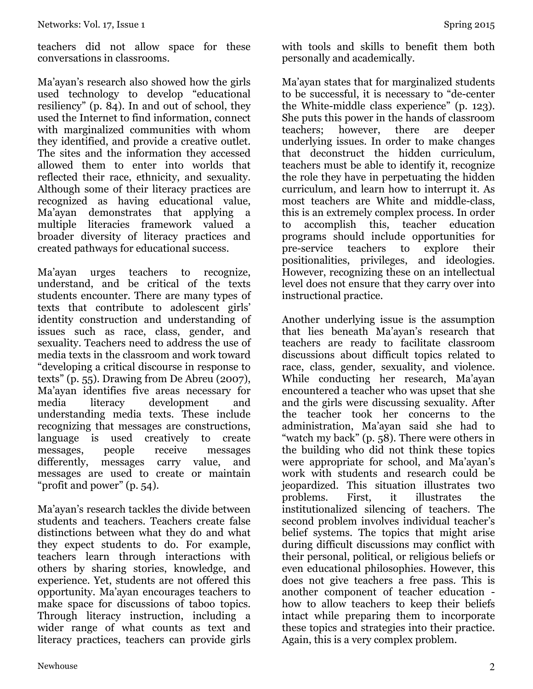teachers did not allow space for these conversations in classrooms.

Ma'ayan's research also showed how the girls used technology to develop "educational resiliency" (p. 84). In and out of school, they used the Internet to find information, connect with marginalized communities with whom they identified, and provide a creative outlet. The sites and the information they accessed allowed them to enter into worlds that reflected their race, ethnicity, and sexuality. Although some of their literacy practices are recognized as having educational value, Ma'ayan demonstrates that applying a multiple literacies framework valued a broader diversity of literacy practices and created pathways for educational success.

Ma'ayan urges teachers to recognize, understand, and be critical of the texts students encounter. There are many types of texts that contribute to adolescent girls' identity construction and understanding of issues such as race, class, gender, and sexuality. Teachers need to address the use of media texts in the classroom and work toward "developing a critical discourse in response to texts" (p. 55). Drawing from De Abreu (2007), Ma'ayan identifies five areas necessary for media literacy development and understanding media texts. These include recognizing that messages are constructions, language is used creatively to create messages, people receive messages differently, messages carry value, and messages are used to create or maintain "profit and power" (p. 54).

Ma'ayan's research tackles the divide between students and teachers. Teachers create false distinctions between what they do and what they expect students to do. For example, teachers learn through interactions with others by sharing stories, knowledge, and experience. Yet, students are not offered this opportunity. Ma'ayan encourages teachers to make space for discussions of taboo topics. Through literacy instruction, including a wider range of what counts as text and literacy practices, teachers can provide girls

Ma'ayan states that for marginalized students to be successful, it is necessary to "de-center the White-middle class experience" (p. 123). She puts this power in the hands of classroom<br>teachers; however, there are deeper teachers; however, there are underlying issues. In order to make changes that deconstruct the hidden curriculum, teachers must be able to identify it, recognize the role they have in perpetuating the hidden curriculum, and learn how to interrupt it. As most teachers are White and middle-class, this is an extremely complex process. In order to accomplish this, teacher education programs should include opportunities for pre-service teachers to explore their positionalities, privileges, and ideologies. However, recognizing these on an intellectual level does not ensure that they carry over into instructional practice.

Another underlying issue is the assumption that lies beneath Ma'ayan's research that teachers are ready to facilitate classroom discussions about difficult topics related to race, class, gender, sexuality, and violence. While conducting her research, Ma'ayan encountered a teacher who was upset that she and the girls were discussing sexuality. After the teacher took her concerns to the administration, Ma'ayan said she had to "watch my back" (p. 58). There were others in the building who did not think these topics were appropriate for school, and Ma'ayan's work with students and research could be jeopardized. This situation illustrates two problems. First, it illustrates the institutionalized silencing of teachers. The second problem involves individual teacher's belief systems. The topics that might arise during difficult discussions may conflict with their personal, political, or religious beliefs or even educational philosophies. However, this does not give teachers a free pass. This is another component of teacher education how to allow teachers to keep their beliefs intact while preparing them to incorporate these topics and strategies into their practice. Again, this is a very complex problem.